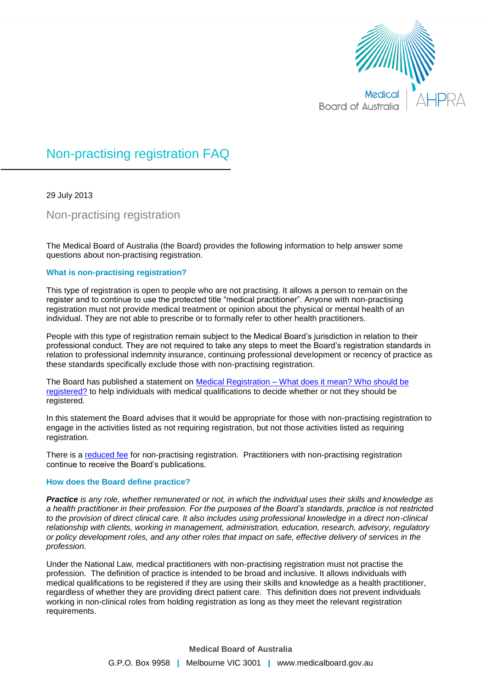

# Non-practising registration FAQ

29 July 2013

Non-practising registration

The Medical Board of Australia (the Board) provides the following information to help answer some questions about non-practising registration.

## **What is non-practising registration?**

This type of registration is open to people who are not practising. It allows a person to remain on the register and to continue to use the protected title "medical practitioner". Anyone with non-practising registration must not provide medical treatment or opinion about the physical or mental health of an individual. They are not able to prescribe or to formally refer to other health practitioners.

People with this type of registration remain subject to the Medical Board's jurisdiction in relation to their professional conduct. They are not required to take any steps to meet the Board's registration standards in relation to professional indemnity insurance, continuing professional development or recency of practice as these standards specifically exclude those with non-practising registration.

The Board has published a statement on Medical Registration – [What does it mean? Who should be](http://www.medicalboard.gov.au/Codes-Guidelines-Policies.aspx)  [registered?](http://www.medicalboard.gov.au/Codes-Guidelines-Policies.aspx) to help individuals with medical qualifications to decide whether or not they should be registered.

In this statement the Board advises that it would be appropriate for those with non-practising registration to engage in the activities listed as not requiring registration, but not those activities listed as requiring registration.

There is a [reduced fee](http://www.medicalboard.gov.au/Registration/Fees.aspx) for non-practising registration. Practitioners with non-practising registration continue to receive the Board's publications.

## **How does the Board define practice?**

*Practice is any role, whether remunerated or not, in which the individual uses their skills and knowledge as a health practitioner in their profession. For the purposes of the Board's standards, practice is not restricted to the provision of direct clinical care. It also includes using professional knowledge in a direct non-clinical relationship with clients, working in management, administration, education, research, advisory, regulatory or policy development roles, and any other roles that impact on safe, effective delivery of services in the profession.*

Under the National Law, medical practitioners with non-practising registration must not practise the profession. The definition of practice is intended to be broad and inclusive. It allows individuals with medical qualifications to be registered if they are using their skills and knowledge as a health practitioner, regardless of whether they are providing direct patient care. This definition does not prevent individuals working in non-clinical roles from holding registration as long as they meet the relevant registration requirements.